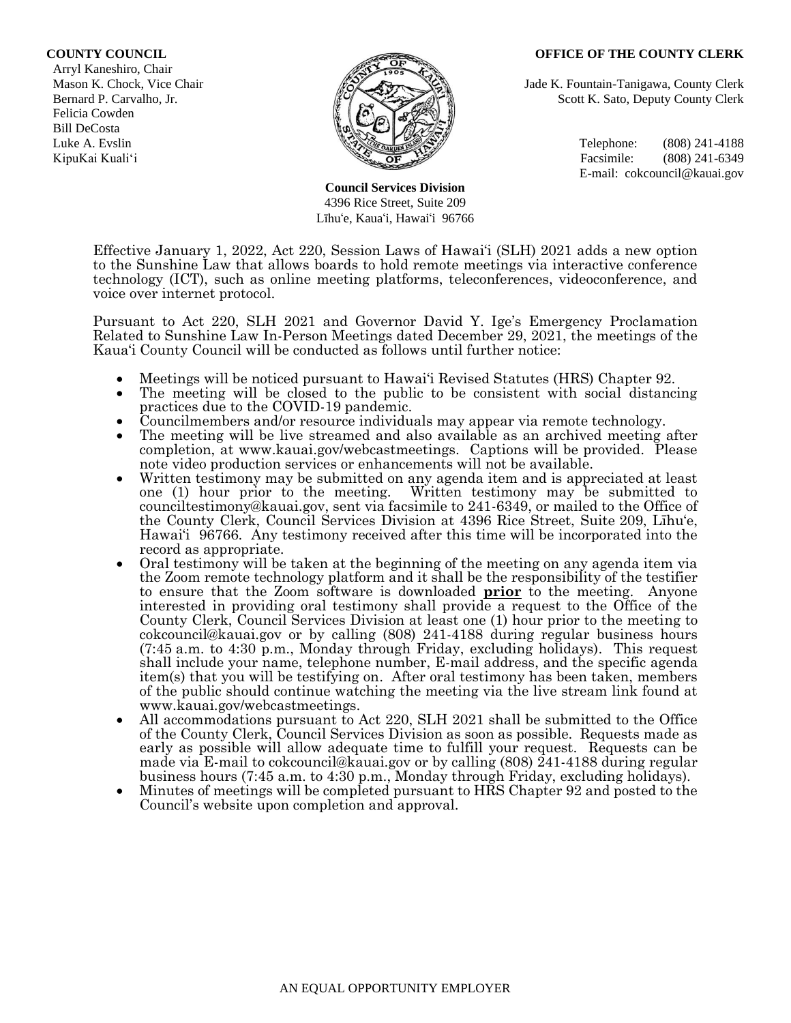#### **COUNTY COUNCIL OFFICE OF THE COUNTY CLERK**

 Arryl Kaneshiro, Chair Felicia Cowden Bill DeCosta



**Council Services Division** 4396 Rice Street, Suite 209 Līhu'e, Kaua'i, Hawai'i 96766

Mason K. Chock, Vice Chair **Jade K. Fountain-Tanigawa, County Clerk** Jade K. Fountain-Tanigawa, County Clerk Bernard P. Carvalho, Jr. Scott K. Sato, Deputy County Clerk

Luke A. Evslin  $\mathbb{R}^n$  Telephone: (808) 241-4188 KipuKai Kuali'i Facsimile: (808) 241-6349 E-mail: cokcouncil@kauai.gov

Effective January 1, 2022, Act 220, Session Laws of Hawai'i (SLH) 2021 adds a new option to the Sunshine Law that allows boards to hold remote meetings via interactive conference technology (ICT), such as online meeting platforms, teleconferences, videoconference, and voice over internet protocol.

Pursuant to Act 220, SLH 2021 and Governor David Y. Ige's Emergency Proclamation Related to Sunshine Law In-Person Meetings dated December 29, 2021, the meetings of the Kaua'i County Council will be conducted as follows until further notice:

- Meetings will be noticed pursuant to Hawai'i Revised Statutes (HRS) Chapter 92.
- The meeting will be closed to the public to be consistent with social distancing practices due to the COVID-19 pandemic.
- Councilmembers and/or resource individuals may appear via remote technology.
- The meeting will be live streamed and also available as an archived meeting after completion, at www.kauai.gov/webcastmeetings. Captions will be provided. Please note video production services or enhancements will not be available.
- Written testimony may be submitted on any agenda item and is appreciated at least one (1) hour prior to the meeting. Written testimony may be submitted to Written testimony may be submitted to counciltestimony@kauai.gov, sent via facsimile to 241-6349, or mailed to the Office of the County Clerk, Council Services Division at 4396 Rice Street, Suite 209, Līhu'e, Hawai'i 96766. Any testimony received after this time will be incorporated into the record as appropriate.
- Oral testimony will be taken at the beginning of the meeting on any agenda item via the Zoom remote technology platform and it shall be the responsibility of the testifier to ensure that the Zoom software is downloaded **prior** to the meeting. Anyone interested in providing oral testimony shall provide a request to the Office of the County Clerk, Council Services Division at least one (1) hour prior to the meeting to cokcouncil@kauai.gov or by calling (808) 241-4188 during regular business hours (7:45 a.m. to 4:30 p.m., Monday through Friday, excluding holidays). This request shall include your name, telephone number, E-mail address, and the specific agenda item(s) that you will be testifying on. After oral testimony has been taken, members of the public should continue watching the meeting via the live stream link found at www.kauai.gov/webcastmeetings.
- All accommodations pursuant to Act 220, SLH 2021 shall be submitted to the Office of the County Clerk, Council Services Division as soon as possible. Requests made as early as possible will allow adequate time to fulfill your request. Requests can be made via E-mail to cokcouncil@kauai.gov or by calling (808) 241-4188 during regular business hours (7:45 a.m. to 4:30 p.m., Monday through Friday, excluding holidays).
- Minutes of meetings will be completed pursuant to HRS Chapter 92 and posted to the Council's website upon completion and approval.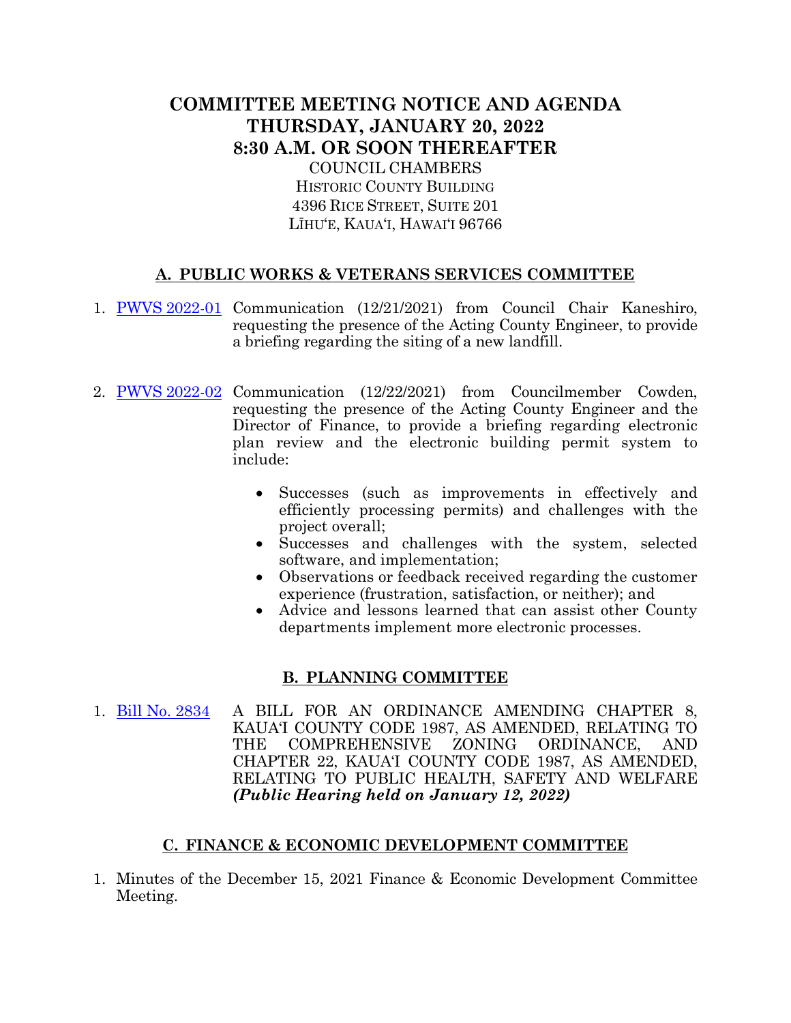# **COMMITTEE MEETING NOTICE AND AGENDA THURSDAY, JANUARY 20, 2022 8:30 A.M. OR SOON THEREAFTER** COUNCIL CHAMBERS

HISTORIC COUNTY BUILDING 4396 RICE STREET, SUITE 201 LĪHU'E, KAUA'I, HAWAI'I 96766

# **A. PUBLIC WORKS & VETERANS SERVICES COMMITTEE**

- 1. [PWVS 2022-01](https://kauai.granicus.com/MetaViewer.php?meta_id=155747) Communication (12/21/2021) from Council Chair Kaneshiro, requesting the presence of the Acting County Engineer, to provide a briefing regarding the siting of a new landfill.
- 2. PWVS [2022-02](https://kauai.granicus.com/MetaViewer.php?meta_id=155749) Communication (12/22/2021) from Councilmember Cowden, requesting the presence of the Acting County Engineer and the Director of Finance, to provide a briefing regarding electronic plan review and the electronic building permit system to include:
	- Successes (such as improvements in effectively and efficiently processing permits) and challenges with the project overall;
	- Successes and challenges with the system, selected software, and implementation;
	- Observations or feedback received regarding the customer experience (frustration, satisfaction, or neither); and
	- Advice and lessons learned that can assist other County departments implement more electronic processes.

## **B. PLANNING COMMITTEE**

1. [Bill No. 2834](https://kauai.granicus.com/MetaViewer.php?meta_id=155751) A BILL FOR AN ORDINANCE AMENDING CHAPTER 8, KAUA'I COUNTY CODE 1987, AS AMENDED, RELATING TO THE COMPREHENSIVE ZONING ORDINANCE, AND CHAPTER 22, KAUA'I COUNTY CODE 1987, AS AMENDED, RELATING TO PUBLIC HEALTH, SAFETY AND WELFARE *(Public Hearing held on January 12, 2022)*

### **C. FINANCE & ECONOMIC DEVELOPMENT COMMITTEE**

1. Minutes of the December 15, 2021 Finance & Economic Development Committee Meeting.